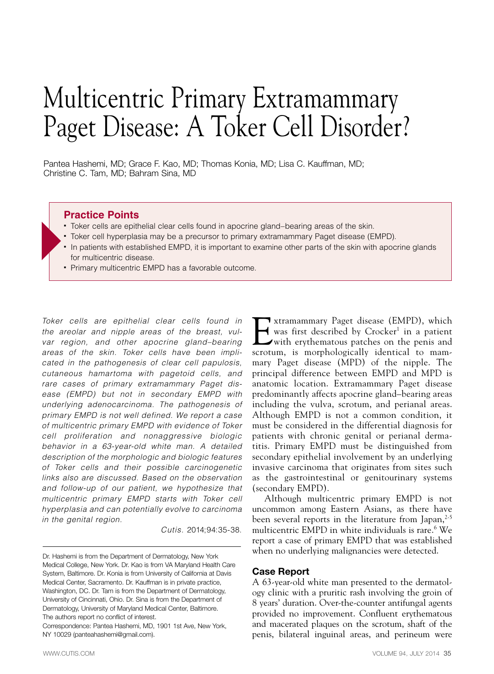# Multicentric Primary Extramammary Paget Disease: A Toker Cell Disorder?

Pantea Hashemi, MD; Grace F. Kao, MD; Thomas Konia, MD; Lisa C. Kauffman, MD; Christine C. Tam, MD; Bahram Sina, MD

#### **Practice Points**

- Toker cells are epithelial clear cells found in apocrine gland–bearing areas of the skin.
- Toker cell hyperplasia may be a precursor to primary extramammary Paget disease (EMPD).
- In patients with established EMPD, it is important to examine other parts of the skin with apocrine glands for multicentric disease.
- **Primary multicentric EMPD has a favorable outcome.**

*Toker cells are epithelial clear cells found in the areolar and nipple areas of the breast, vulvar region, and other apocrine gland–bearing areas of the skin. Toker cells have been implicated in the pathogenesis of clear cell papulosis, cutaneous hamartoma with pagetoid cells, and rare cases of primary extramammary Paget disease (EMPD) but not in secondary EMPD with underlying adenocarcinoma. The pathogenesis of primary EMPD is not well defined. We report a case of multicentric primary EMPD with evidence of Toker cell proliferation and nonaggressive biologic behavior in a 63-year-old white man. A detailed description of the morphologic and biologic features of Toker cells and their possible carcinogenetic links also are discussed. Based on the observation and follow-up of our patient, we hypothesize that multicentric primary EMPD starts with Toker cell hyperplasia and can potentially evolve to carcinoma in the genital region.* 

*Cutis.* 2014;94:35-38.

Correspondence: Pantea Hashemi, MD, 1901 1st Ave, New York, NY 10029 (panteahashemi@gmail.com).

Extramammary Paget disease (EMPD), which<br>was first described by Crocker<sup>1</sup> in a patient<br>with erythematous patches on the penis and<br>scrotum is morphologically identical to mam was first described by Crocker<sup>1</sup> in a patient with erythematous patches on the penis and scrotum, is morphologically identical to mammary Paget disease (MPD) of the nipple. The principal difference between EMPD and MPD is anatomic location. Extramammary Paget disease predominantly affects apocrine gland–bearing areas including the vulva, scrotum, and perianal areas. Although EMPD is not a common condition, it must be considered in the differential diagnosis for patients with chronic genital or perianal dermatitis. Primary EMPD must be distinguished from secondary epithelial involvement by an underlying invasive carcinoma that originates from sites such as the gastrointestinal or genitourinary systems (secondary EMPD).

Although multicentric primary EMPD is not uncommon among Eastern Asians, as there have been several reports in the literature from Japan, $^{2.5}$ multicentric EMPD in white individuals is rare.6 We report a case of primary EMPD that was established when no underlying malignancies were detected.

#### Case Report

A 63-year-old white man presented to the dermatology clinic with a pruritic rash involving the groin of 8 years' duration. Over-the-counter antifungal agents provided no improvement. Confluent erythematous and macerated plaques on the scrotum, shaft of the penis, bilateral inguinal areas, and perineum were

Dr. Hashemi is from the Department of Dermatology, New York Medical College, New York. Dr. Kao is from VA Maryland Health Care System, Baltimore. Dr. Konia is from University of California at Davis Medical Center, Sacramento. Dr. Kauffman is in private practice, Washington, DC. Dr. Tam is from the Department of Dermatology, University of Cincinnati, Ohio. Dr. Sina is from the Department of Dermatology, University of Maryland Medical Center, Baltimore. The authors report no conflict of interest.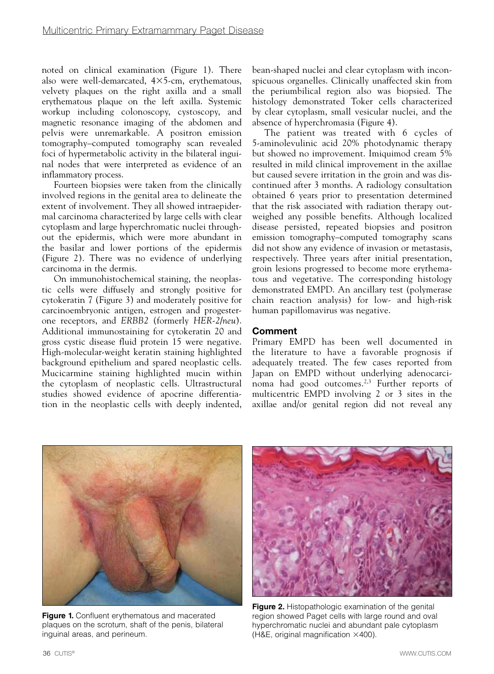noted on clinical examination (Figure 1). There also were well-demarcated,  $4\times5$ -cm, erythematous, velvety plaques on the right axilla and a small erythematous plaque on the left axilla. Systemic workup including colonoscopy, cystoscopy, and magnetic resonance imaging of the abdomen and pelvis were unremarkable. A positron emission tomography–computed tomography scan revealed foci of hypermetabolic activity in the bilateral inguinal nodes that were interpreted as evidence of an inflammatory process.

Fourteen biopsies were taken from the clinically involved regions in the genital area to delineate the extent of involvement. They all showed intraepidermal carcinoma characterized by large cells with clear cytoplasm and large hyperchromatic nuclei throughout the epidermis, which were more abundant in the basilar and lower portions of the epidermis (Figure 2). There was no evidence of underlying carcinoma in the dermis.

On immunohistochemical staining, the neoplastic cells were diffusely and strongly positive for cytokeratin 7 (Figure 3) and moderately positive for carcinoembryonic antigen, estrogen and progesterone receptors, and *ERBB2* (formerly *HER-2/neu*). Additional immunostaining for cytokeratin 20 and gross cystic disease fluid protein 15 were negative. High-molecular-weight keratin staining highlighted background epithelium and spared neoplastic cells. Mucicarmine staining highlighted mucin within the cytoplasm of neoplastic cells. Ultrastructural studies showed evidence of apocrine differentiation in the neoplastic cells with deeply indented, bean-shaped nuclei and clear cytoplasm with inconspicuous organelles. Clinically unaffected skin from the periumbilical region also was biopsied. The histology demonstrated Toker cells characterized by clear cytoplasm, small vesicular nuclei, and the absence of hyperchromasia (Figure 4).

The patient was treated with 6 cycles of 5-aminolevulinic acid 20% photodynamic therapy but showed no improvement. Imiquimod cream 5% resulted in mild clinical improvement in the axillae but caused severe irritation in the groin and was discontinued after 3 months. A radiology consultation obtained 6 years prior to presentation determined that the risk associated with radiation therapy outweighed any possible benefits. Although localized disease persisted, repeated biopsies and positron emission tomography–computed tomography scans did not show any evidence of invasion or metastasis, respectively. Three years after initial presentation, groin lesions progressed to become more erythematous and vegetative. The corresponding histology demonstrated EMPD. An ancillary test (polymerase chain reaction analysis) for low- and high-risk human papillomavirus was negative.

#### Comment

Primary EMPD has been well documented in the literature to have a favorable prognosis if adequately treated. The few cases reported from Japan on EMPD without underlying adenocarcinoma had good outcomes.2,3 Further reports of multicentric EMPD involving 2 or 3 sites in the axillae and/or genital region did not reveal any



**Figure 1.** Confluent erythematous and macerated plaques on the scrotum, shaft of the penis, bilateral inguinal areas, and perineum.



**Figure 2.** Histopathologic examination of the genital region showed Paget cells with large round and oval hyperchromatic nuclei and abundant pale cytoplasm (H&E, original magnification  $\times$ 400).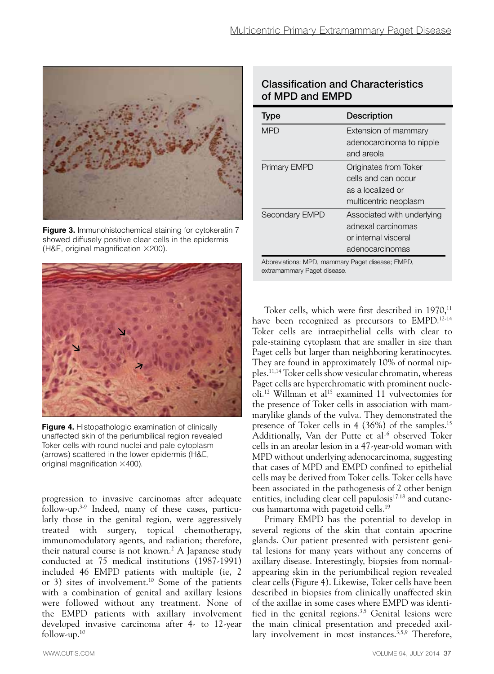

**Figure 3.** Immunohistochemical staining for cytokeratin 7 showed diffusely positive clear cells in the epidermis (H&E, original magnification  $\times$  200).



**Figure 4.** Histopathologic examination of clinically unaffected skin of the periumbilical region revealed Toker cells with round nuclei and pale cytoplasm (arrows) scattered in the lower epidermis (H&E, original magnification  $\times$ 400).

progression to invasive carcinomas after adequate follow-up.3-9 Indeed, many of these cases, particularly those in the genital region, were aggressively treated with surgery, topical chemotherapy, immunomodulatory agents, and radiation; therefore, their natural course is not known.<sup>2</sup> A Japanese study conducted at 75 medical institutions (1987-1991) included 46 EMPD patients with multiple (ie, 2 or 3) sites of involvement.<sup>10</sup> Some of the patients with a combination of genital and axillary lesions were followed without any treatment. None of the EMPD patients with axillary involvement developed invasive carcinoma after 4- to 12-year follow-up.10

## Classification and Characteristics of MPD and EMPD

| Type                                                                            | <b>Description</b>         |
|---------------------------------------------------------------------------------|----------------------------|
| <b>MPD</b>                                                                      | Extension of mammary       |
|                                                                                 | adenocarcinoma to nipple   |
|                                                                                 | and areola                 |
| <b>Primary EMPD</b>                                                             | Originates from Toker      |
|                                                                                 | cells and can occur        |
|                                                                                 | as a localized or          |
|                                                                                 | multicentric neoplasm      |
| Secondary EMPD                                                                  | Associated with underlying |
|                                                                                 | adnexal carcinomas         |
|                                                                                 | or internal visceral       |
|                                                                                 | adenocarcinomas            |
| Abbreviations: MPD, mammary Paget disease; EMPD,<br>extramammary Paget disease. |                            |

Toker cells, which were first described in 1970,<sup>11</sup> have been recognized as precursors to EMPD.<sup>12-14</sup> Toker cells are intraepithelial cells with clear to pale-staining cytoplasm that are smaller in size than Paget cells but larger than neighboring keratinocytes. They are found in approximately 10% of normal nipples.11,14 Toker cells show vesicular chromatin, whereas Paget cells are hyperchromatic with prominent nucleoli.<sup>12</sup> Willman et al<sup>15</sup> examined 11 vulvectomies for the presence of Toker cells in association with mammarylike glands of the vulva. They demonstrated the presence of Toker cells in 4 (36%) of the samples.<sup>15</sup> Additionally, Van der Putte et al<sup>16</sup> observed Toker cells in an areolar lesion in a 47-year-old woman with MPD without underlying adenocarcinoma, suggesting that cases of MPD and EMPD confined to epithelial cells may be derived from Toker cells. Toker cells have been associated in the pathogenesis of 2 other benign entities, including clear cell papulosis<sup>17,18</sup> and cutaneous hamartoma with pagetoid cells.19

Primary EMPD has the potential to develop in several regions of the skin that contain apocrine glands. Our patient presented with persistent genital lesions for many years without any concerns of axillary disease. Interestingly, biopsies from normalappearing skin in the periumbilical region revealed clear cells (Figure 4). Likewise, Toker cells have been described in biopsies from clinically unaffected skin of the axillae in some cases where EMPD was identified in the genital regions.<sup>3,5</sup> Genital lesions were the main clinical presentation and preceded axillary involvement in most instances.<sup>3,5,9</sup> Therefore,